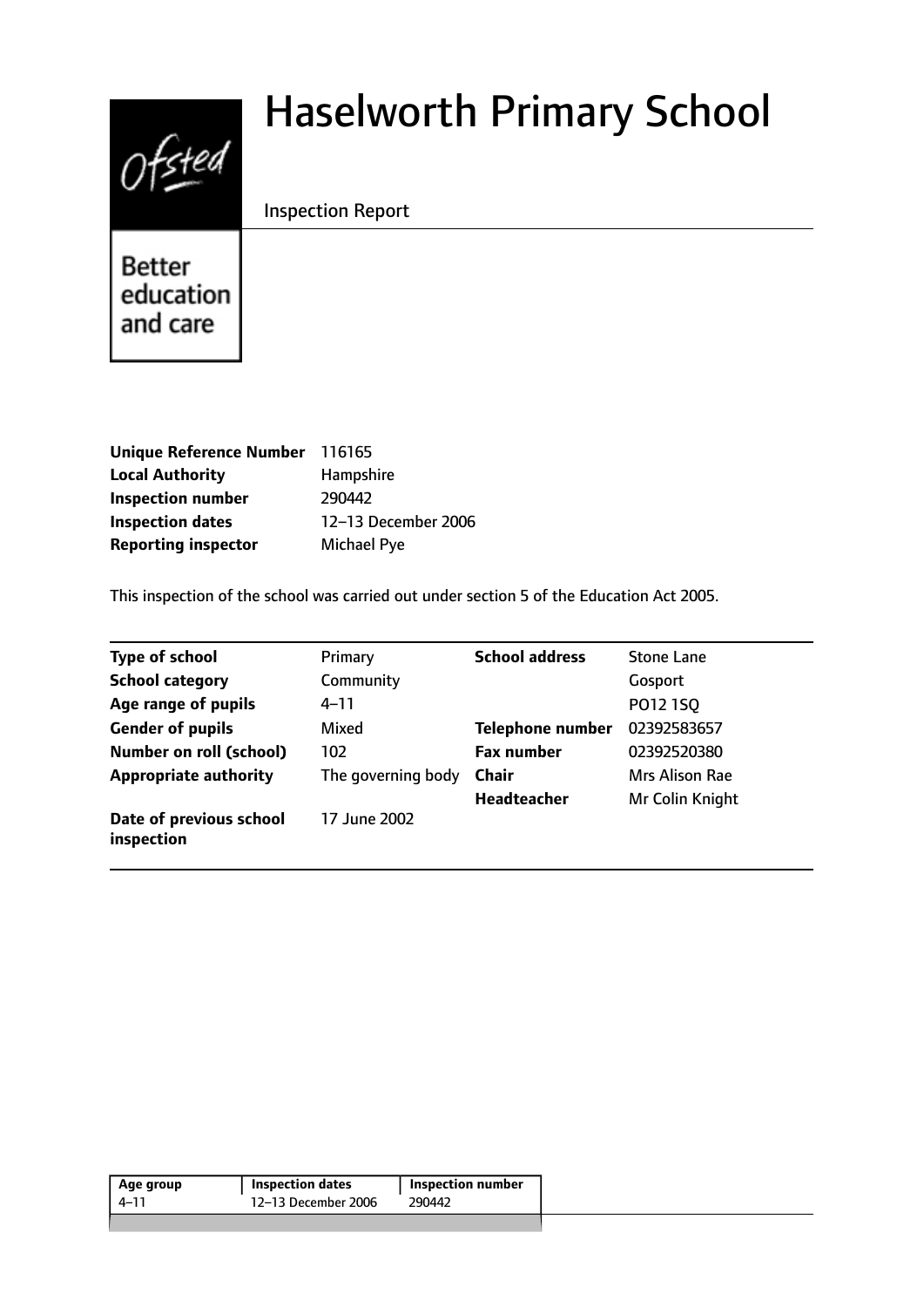# $0$ fsted

# Haselworth Primary School

# Inspection Report

**Better** education and care

| Unique Reference Number 116165 |                     |
|--------------------------------|---------------------|
| <b>Local Authority</b>         | Hampshire           |
| <b>Inspection number</b>       | 290442              |
| <b>Inspection dates</b>        | 12-13 December 2006 |
| <b>Reporting inspector</b>     | Michael Pye         |

This inspection of the school was carried out under section 5 of the Education Act 2005.

| <b>Type of school</b>                 | Primary            | <b>School address</b>   | <b>Stone Lane</b> |
|---------------------------------------|--------------------|-------------------------|-------------------|
| <b>School category</b>                | Community          |                         | Gosport           |
| Age range of pupils                   | 4–11               |                         | P012 1SQ          |
| <b>Gender of pupils</b>               | Mixed              | <b>Telephone number</b> | 02392583657       |
| <b>Number on roll (school)</b>        | 102                | <b>Fax number</b>       | 02392520380       |
| <b>Appropriate authority</b>          | The governing body | <b>Chair</b>            | Mrs Alison Rae    |
|                                       |                    | <b>Headteacher</b>      | Mr Colin Knight   |
| Date of previous school<br>inspection | 17 June 2002       |                         |                   |

| Age group | <b>Inspection dates</b> | <b>Inspection number</b> |
|-----------|-------------------------|--------------------------|
| 4–11      | 12-13 December 2006     | 290442                   |
|           |                         |                          |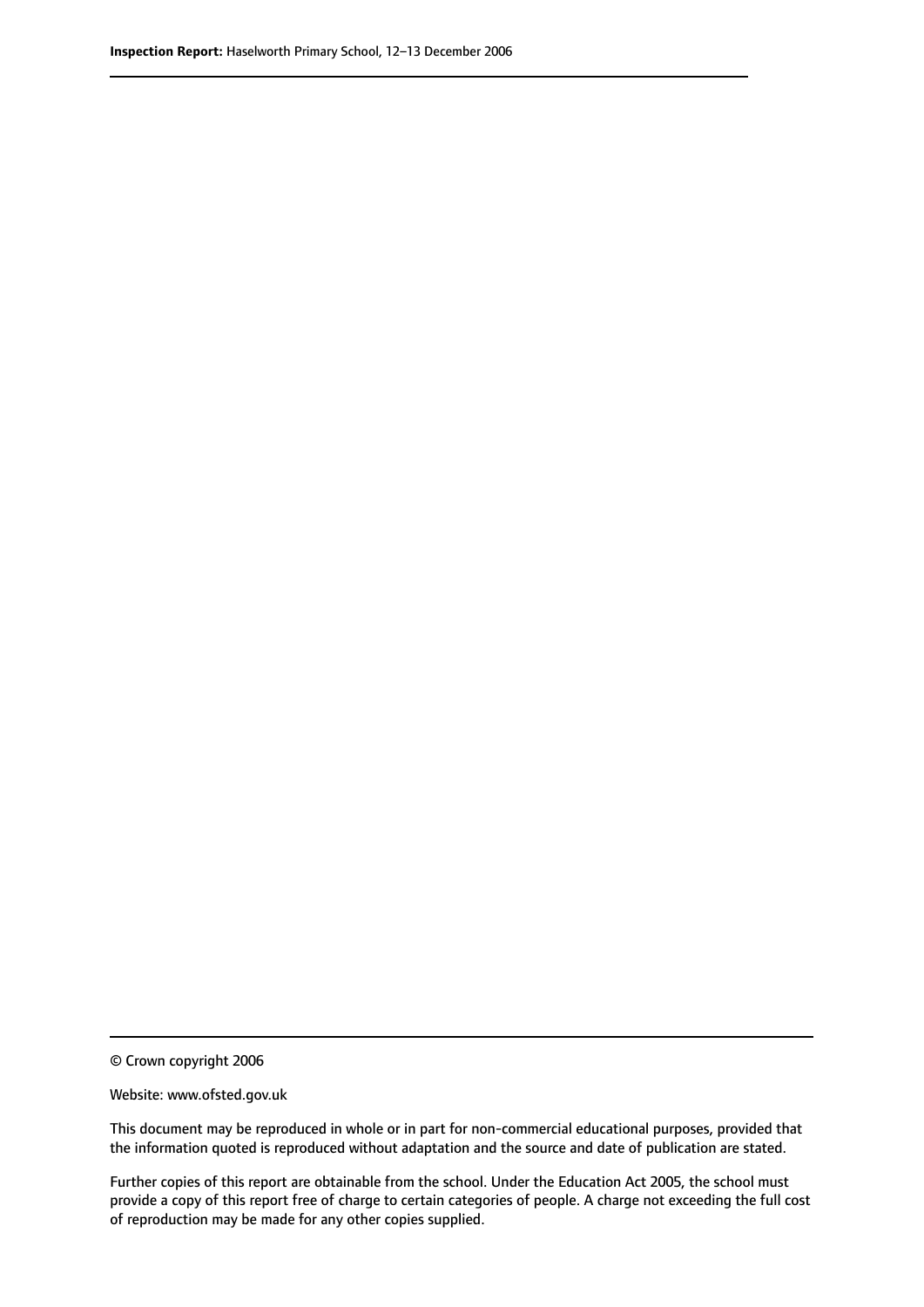© Crown copyright 2006

Website: www.ofsted.gov.uk

This document may be reproduced in whole or in part for non-commercial educational purposes, provided that the information quoted is reproduced without adaptation and the source and date of publication are stated.

Further copies of this report are obtainable from the school. Under the Education Act 2005, the school must provide a copy of this report free of charge to certain categories of people. A charge not exceeding the full cost of reproduction may be made for any other copies supplied.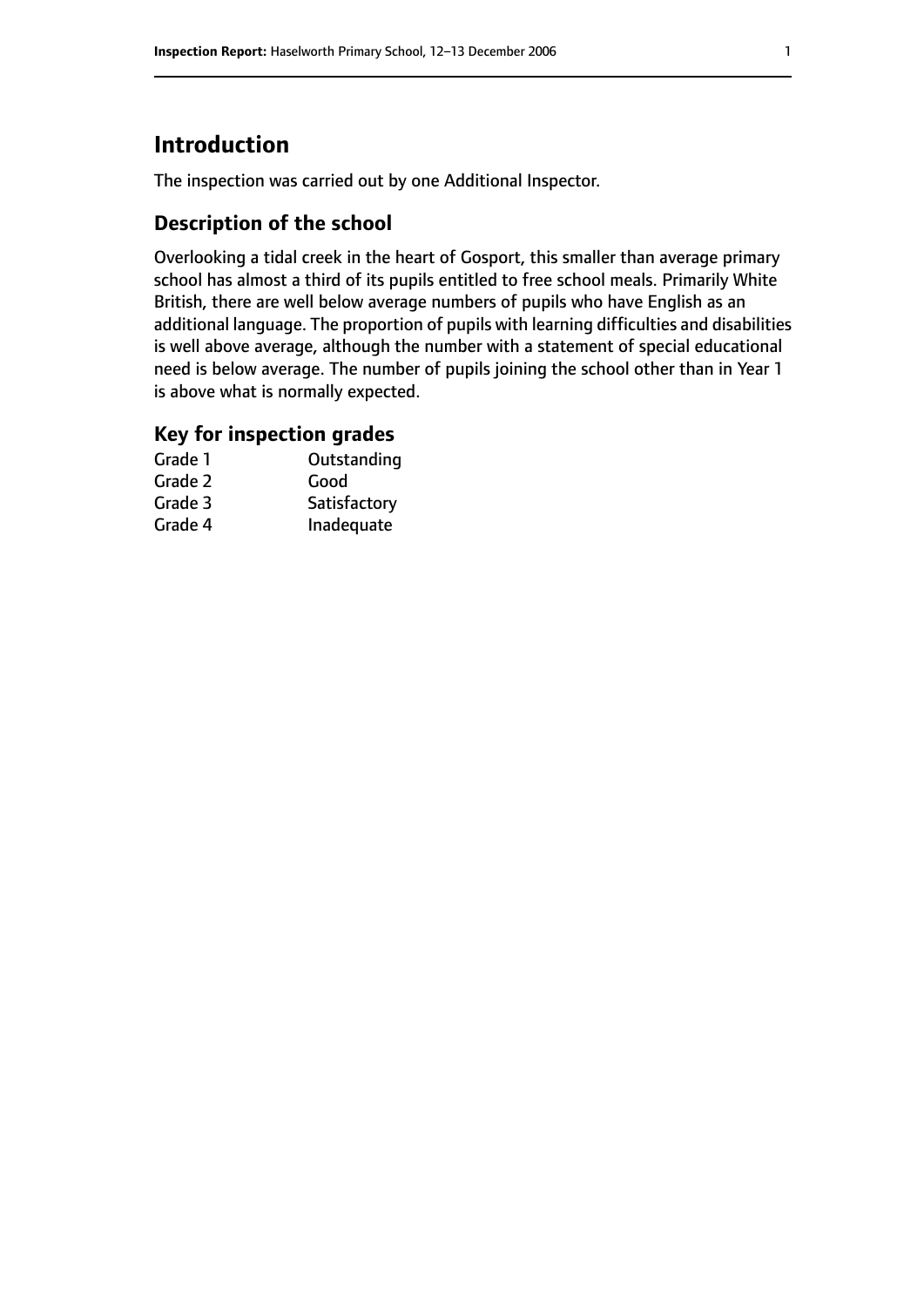# **Introduction**

The inspection was carried out by one Additional Inspector.

# **Description of the school**

Overlooking a tidal creek in the heart of Gosport, this smaller than average primary school has almost a third of its pupils entitled to free school meals. Primarily White British, there are well below average numbers of pupils who have English as an additional language. The proportion of pupils with learning difficulties and disabilities is well above average, although the number with a statement of special educational need is below average. The number of pupils joining the school other than in Year 1 is above what is normally expected.

#### **Key for inspection grades**

| Grade 1 | Outstanding  |
|---------|--------------|
| Grade 2 | Good         |
| Grade 3 | Satisfactory |
| Grade 4 | Inadequate   |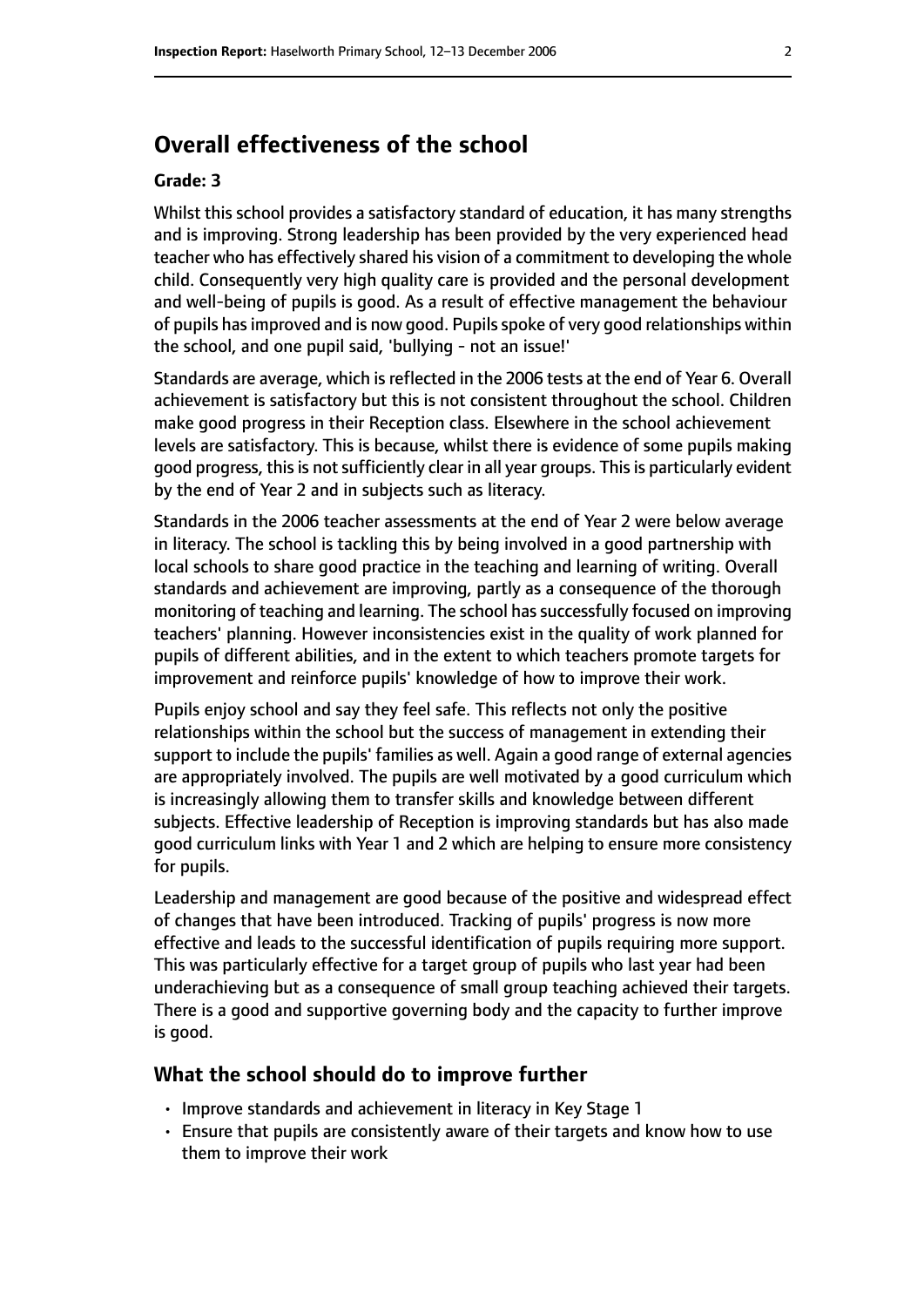# **Overall effectiveness of the school**

#### **Grade: 3**

Whilst this school provides a satisfactory standard of education, it has many strengths and is improving. Strong leadership has been provided by the very experienced head teacher who has effectively shared his vision of a commitment to developing the whole child. Consequently very high quality care is provided and the personal development and well-being of pupils is good. As a result of effective management the behaviour of pupils hasimproved and is now good. Pupilsspoke of very good relationships within the school, and one pupil said, 'bullying - not an issue!'

Standards are average, which is reflected in the 2006 tests at the end of Year 6. Overall achievement is satisfactory but this is not consistent throughout the school. Children make good progress in their Reception class. Elsewhere in the school achievement levels are satisfactory. This is because, whilst there is evidence of some pupils making good progress, this is not sufficiently clear in all year groups. This is particularly evident by the end of Year 2 and in subjects such as literacy.

Standards in the 2006 teacher assessments at the end of Year 2 were below average in literacy. The school is tackling this by being involved in a good partnership with local schools to share good practice in the teaching and learning of writing. Overall standards and achievement are improving, partly as a consequence of the thorough monitoring of teaching and learning. The school has successfully focused on improving teachers' planning. However inconsistencies exist in the quality of work planned for pupils of different abilities, and in the extent to which teachers promote targets for improvement and reinforce pupils' knowledge of how to improve their work.

Pupils enjoy school and say they feel safe. This reflects not only the positive relationships within the school but the success of management in extending their support to include the pupils' families as well. Again a good range of external agencies are appropriately involved. The pupils are well motivated by a good curriculum which is increasingly allowing them to transfer skills and knowledge between different subjects. Effective leadership of Reception is improving standards but has also made good curriculum links with Year 1 and 2 which are helping to ensure more consistency for pupils.

Leadership and management are good because of the positive and widespread effect of changes that have been introduced. Tracking of pupils' progress is now more effective and leads to the successful identification of pupils requiring more support. This was particularly effective for a target group of pupils who last year had been underachieving but as a consequence of small group teaching achieved their targets. There is a good and supportive governing body and the capacity to further improve is good.

#### **What the school should do to improve further**

- Improve standards and achievement in literacy in Key Stage 1
- Ensure that pupils are consistently aware of their targets and know how to use them to improve their work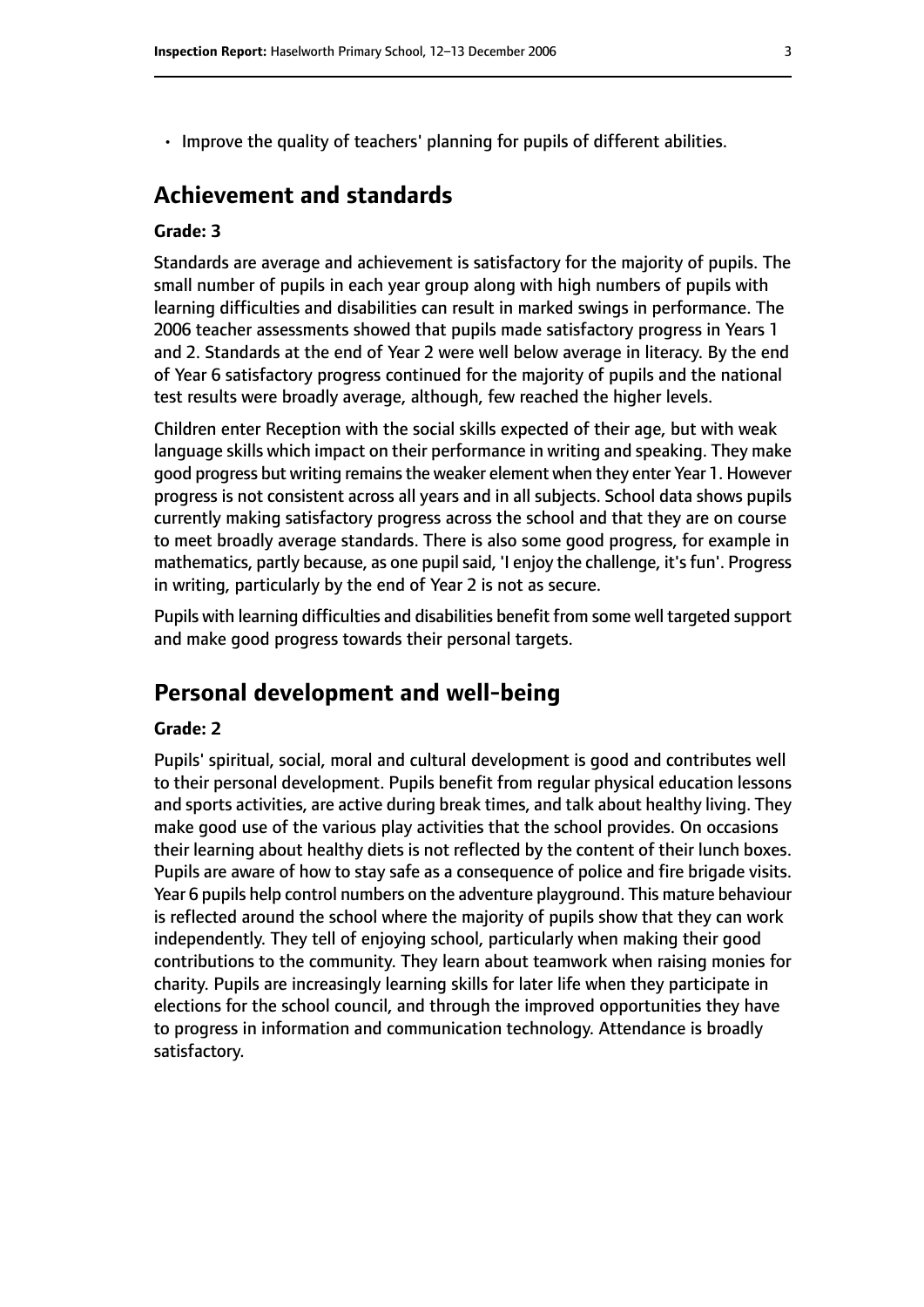- 
- Improve the quality of teachers' planning for pupils of different abilities.

## **Achievement and standards**

#### **Grade: 3**

Standards are average and achievement is satisfactory for the majority of pupils. The small number of pupils in each year group along with high numbers of pupils with learning difficulties and disabilities can result in marked swings in performance. The 2006 teacher assessments showed that pupils made satisfactory progress in Years 1 and 2. Standards at the end of Year 2 were well below average in literacy. By the end of Year 6 satisfactory progress continued for the majority of pupils and the national test results were broadly average, although, few reached the higher levels.

Children enter Reception with the social skills expected of their age, but with weak language skills which impact on their performance in writing and speaking. They make good progress but writing remains the weaker element when they enter Year 1. However progress is not consistent across all years and in all subjects. School data shows pupils currently making satisfactory progress across the school and that they are on course to meet broadly average standards. There is also some good progress, for example in mathematics, partly because, as one pupil said, 'I enjoy the challenge, it's fun'. Progress in writing, particularly by the end of Year 2 is not as secure.

Pupils with learning difficulties and disabilities benefit from some well targeted support and make good progress towards their personal targets.

# **Personal development and well-being**

#### **Grade: 2**

Pupils' spiritual, social, moral and cultural development is good and contributes well to their personal development. Pupils benefit from regular physical education lessons and sports activities, are active during break times, and talk about healthy living. They make good use of the various play activities that the school provides. On occasions their learning about healthy diets is not reflected by the content of their lunch boxes. Pupils are aware of how to stay safe as a consequence of police and fire brigade visits. Year 6 pupils help control numbers on the adventure playground. This mature behaviour is reflected around the school where the majority of pupils show that they can work independently. They tell of enjoying school, particularly when making their good contributions to the community. They learn about teamwork when raising monies for charity. Pupils are increasingly learning skills for later life when they participate in elections for the school council, and through the improved opportunities they have to progress in information and communication technology. Attendance is broadly satisfactory.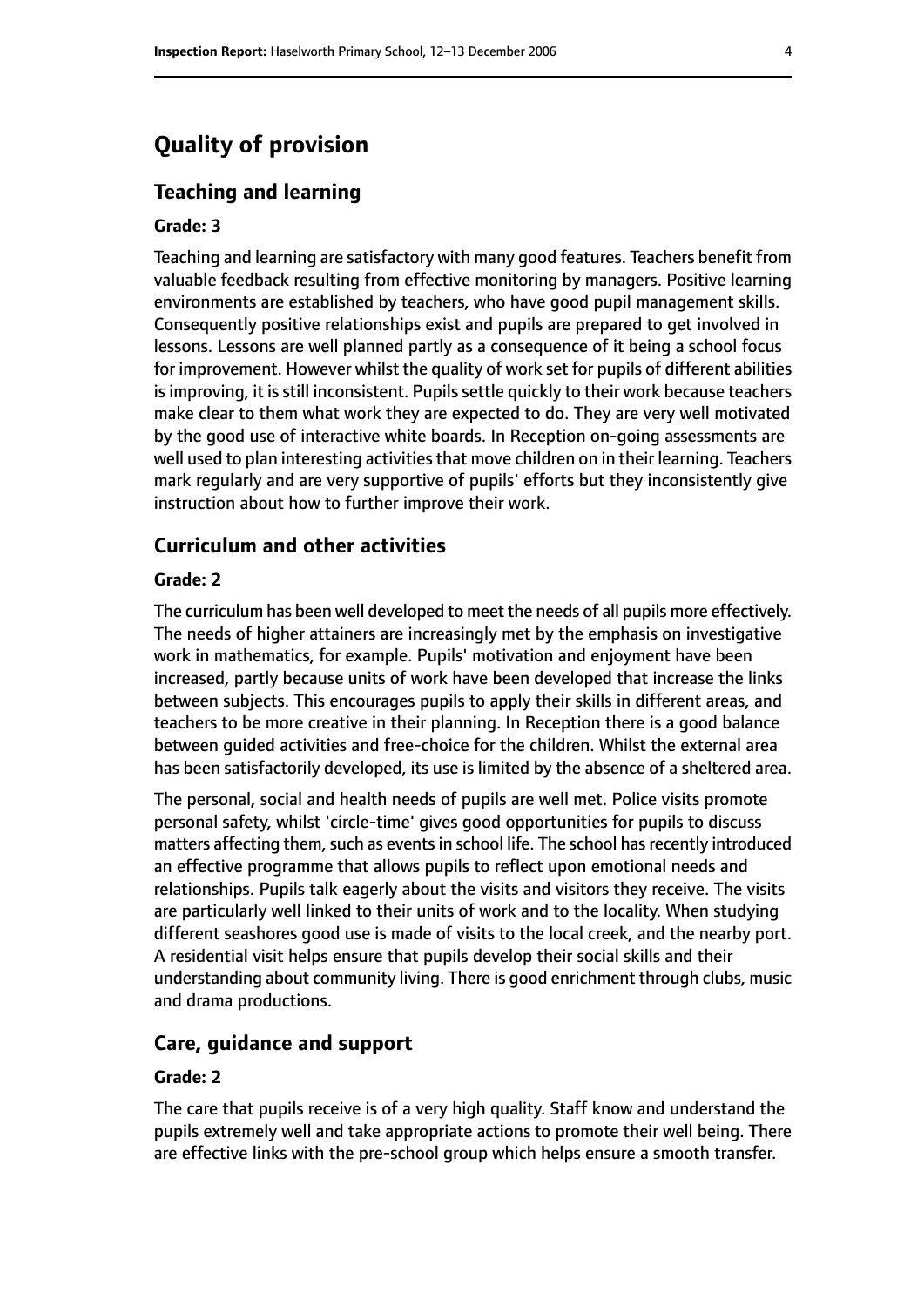# **Quality of provision**

#### **Teaching and learning**

#### **Grade: 3**

Teaching and learning are satisfactory with many good features. Teachers benefit from valuable feedback resulting from effective monitoring by managers. Positive learning environments are established by teachers, who have good pupil management skills. Consequently positive relationships exist and pupils are prepared to get involved in lessons. Lessons are well planned partly as a consequence of it being a school focus for improvement. However whilst the quality of work set for pupils of different abilities is improving, it is still inconsistent. Pupils settle quickly to their work because teachers make clear to them what work they are expected to do. They are very well motivated by the good use of interactive white boards. In Reception on-going assessments are well used to plan interesting activities that move children on in their learning. Teachers mark regularly and are very supportive of pupils' efforts but they inconsistently give instruction about how to further improve their work.

#### **Curriculum and other activities**

#### **Grade: 2**

The curriculum has been well developed to meet the needs of all pupils more effectively. The needs of higher attainers are increasingly met by the emphasis on investigative work in mathematics, for example. Pupils' motivation and enjoyment have been increased, partly because units of work have been developed that increase the links between subjects. This encourages pupils to apply their skills in different areas, and teachers to be more creative in their planning. In Reception there is a good balance between guided activities and free-choice for the children. Whilst the external area has been satisfactorily developed, its use is limited by the absence of a sheltered area.

The personal, social and health needs of pupils are well met. Police visits promote personal safety, whilst 'circle-time' gives good opportunities for pupils to discuss matters affecting them, such as events in school life. The school has recently introduced an effective programme that allows pupils to reflect upon emotional needs and relationships. Pupils talk eagerly about the visits and visitors they receive. The visits are particularly well linked to their units of work and to the locality. When studying different seashores good use is made of visits to the local creek, and the nearby port. A residential visit helps ensure that pupils develop their social skills and their understanding about community living. There is good enrichment through clubs, music and drama productions.

#### **Care, guidance and support**

#### **Grade: 2**

The care that pupils receive is of a very high quality. Staff know and understand the pupils extremely well and take appropriate actions to promote their well being. There are effective links with the pre-school group which helps ensure a smooth transfer.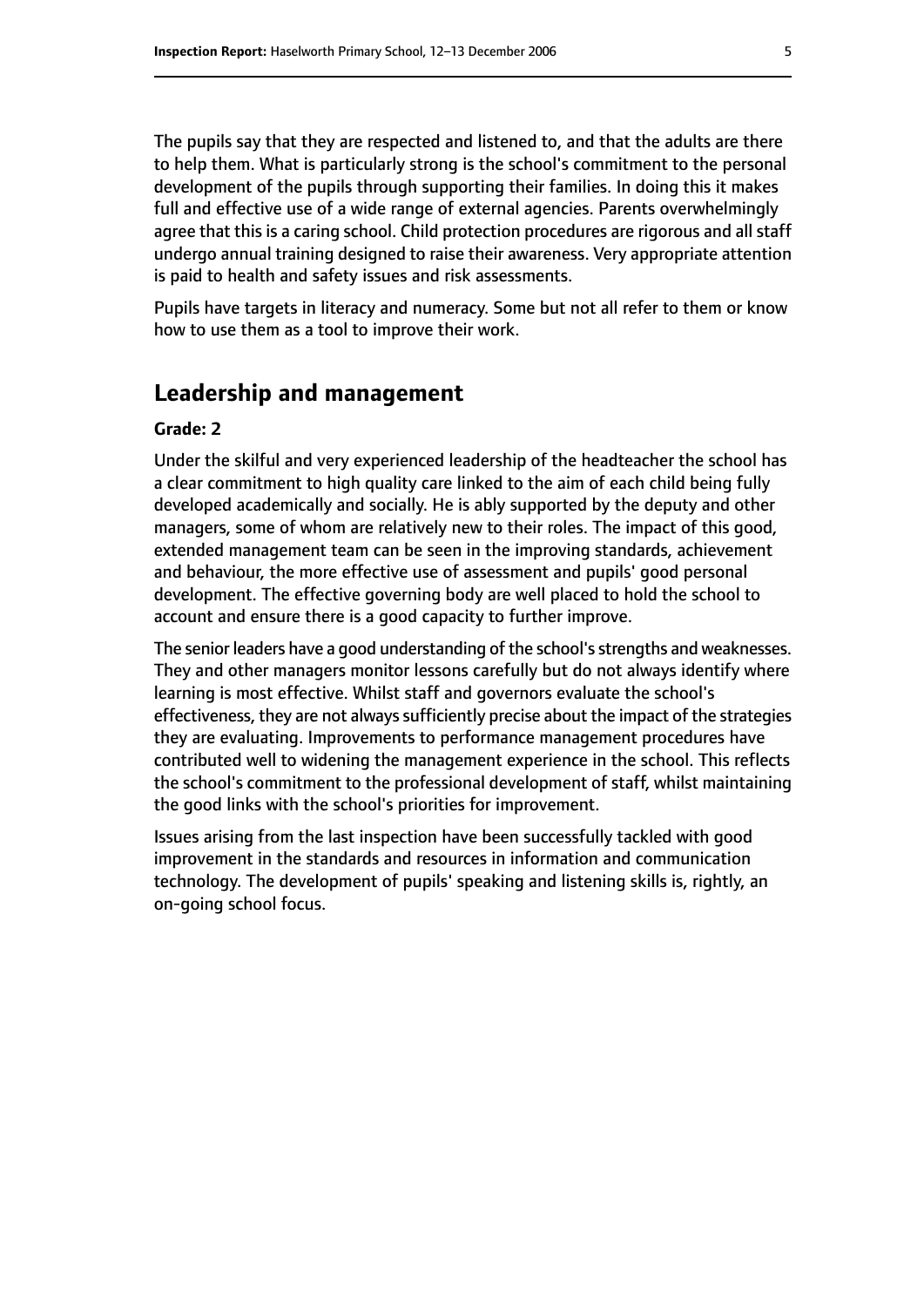The pupils say that they are respected and listened to, and that the adults are there to help them. What is particularly strong is the school's commitment to the personal development of the pupils through supporting their families. In doing this it makes full and effective use of a wide range of external agencies. Parents overwhelmingly agree that this is a caring school. Child protection procedures are rigorous and all staff undergo annual training designed to raise their awareness. Very appropriate attention is paid to health and safety issues and risk assessments.

Pupils have targets in literacy and numeracy. Some but not all refer to them or know how to use them as a tool to improve their work.

#### **Leadership and management**

#### **Grade: 2**

Under the skilful and very experienced leadership of the headteacher the school has a clear commitment to high quality care linked to the aim of each child being fully developed academically and socially. He is ably supported by the deputy and other managers, some of whom are relatively new to their roles. The impact of this good, extended management team can be seen in the improving standards, achievement and behaviour, the more effective use of assessment and pupils' good personal development. The effective governing body are well placed to hold the school to account and ensure there is a good capacity to further improve.

The senior leaders have a good understanding of the school's strengths and weaknesses. They and other managers monitor lessons carefully but do not always identify where learning is most effective. Whilst staff and governors evaluate the school's effectiveness, they are not always sufficiently precise about the impact of the strategies they are evaluating. Improvements to performance management procedures have contributed well to widening the management experience in the school. This reflects the school's commitment to the professional development of staff, whilst maintaining the good links with the school's priorities for improvement.

Issues arising from the last inspection have been successfully tackled with good improvement in the standards and resources in information and communication technology. The development of pupils' speaking and listening skills is, rightly, an on-going school focus.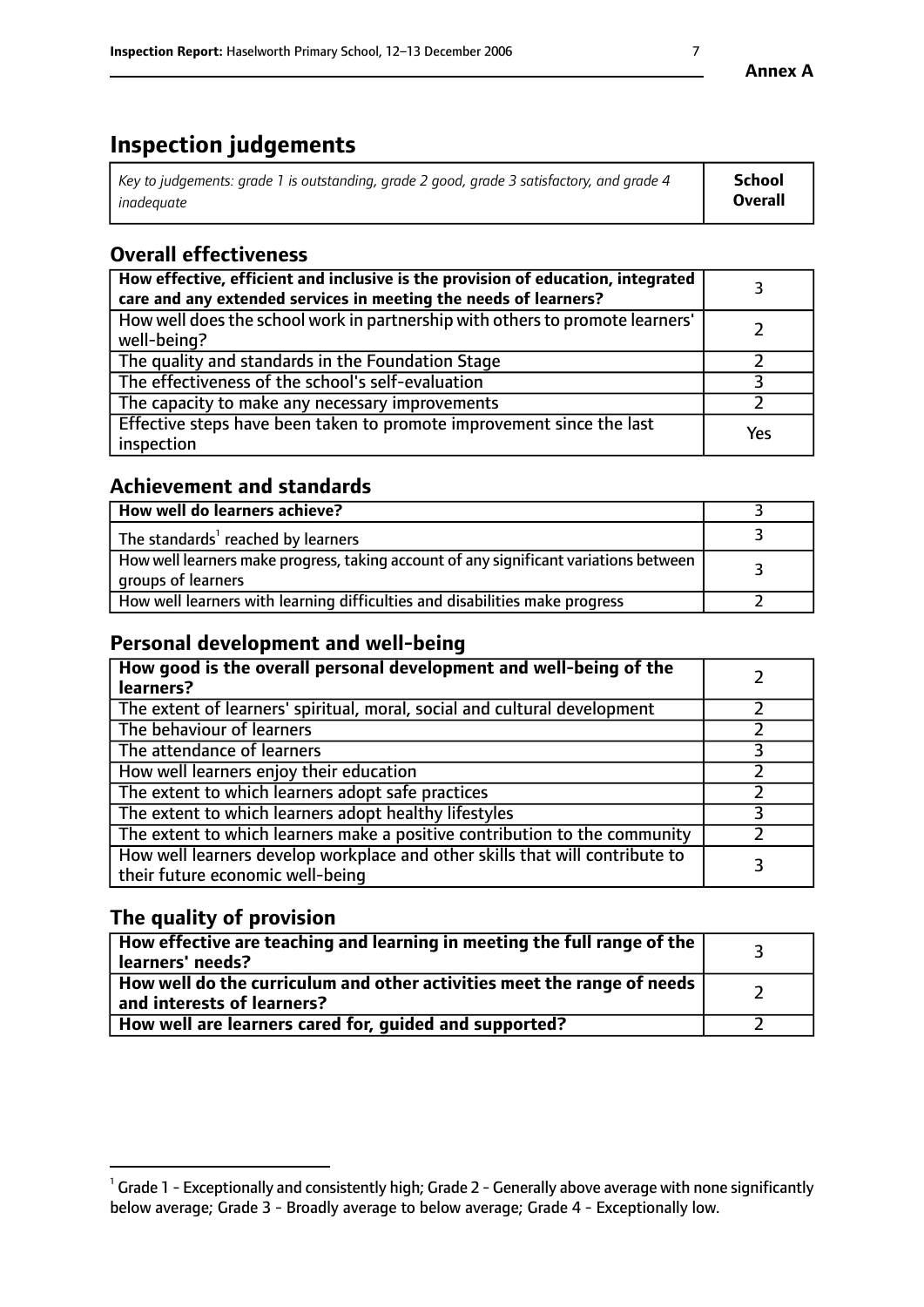# **Inspection judgements**

| Key to judgements: grade 1 is outstanding, grade 2 good, grade 3 satisfactory, and grade 4 | School         |
|--------------------------------------------------------------------------------------------|----------------|
| inadeauate                                                                                 | <b>Overall</b> |

# **Overall effectiveness**

| How effective, efficient and inclusive is the provision of education, integrated<br>care and any extended services in meeting the needs of learners? |     |
|------------------------------------------------------------------------------------------------------------------------------------------------------|-----|
| How well does the school work in partnership with others to promote learners'<br>well-being?                                                         |     |
| The quality and standards in the Foundation Stage                                                                                                    |     |
| The effectiveness of the school's self-evaluation                                                                                                    |     |
| The capacity to make any necessary improvements                                                                                                      |     |
| Effective steps have been taken to promote improvement since the last<br>inspection                                                                  | Yes |

## **Achievement and standards**

| How well do learners achieve?                                                                               |  |
|-------------------------------------------------------------------------------------------------------------|--|
| The standards <sup>1</sup> reached by learners                                                              |  |
| How well learners make progress, taking account of any significant variations between<br>groups of learners |  |
| How well learners with learning difficulties and disabilities make progress                                 |  |

# **Personal development and well-being**

| How good is the overall personal development and well-being of the<br>learners?                                  |  |
|------------------------------------------------------------------------------------------------------------------|--|
| The extent of learners' spiritual, moral, social and cultural development                                        |  |
| The behaviour of learners                                                                                        |  |
| The attendance of learners                                                                                       |  |
| How well learners enjoy their education                                                                          |  |
| The extent to which learners adopt safe practices                                                                |  |
| The extent to which learners adopt healthy lifestyles                                                            |  |
| The extent to which learners make a positive contribution to the community                                       |  |
| How well learners develop workplace and other skills that will contribute to<br>their future economic well-being |  |

# **The quality of provision**

| $\Box$ How effective are teaching and learning in meeting the full range of the $\Box$<br>  learners' needs?        |  |
|---------------------------------------------------------------------------------------------------------------------|--|
| $\mid$ How well do the curriculum and other activities meet the range of needs<br>$\mid$ and interests of learners? |  |
| How well are learners cared for, guided and supported?                                                              |  |

 $^1$  Grade 1 - Exceptionally and consistently high; Grade 2 - Generally above average with none significantly below average; Grade 3 - Broadly average to below average; Grade 4 - Exceptionally low.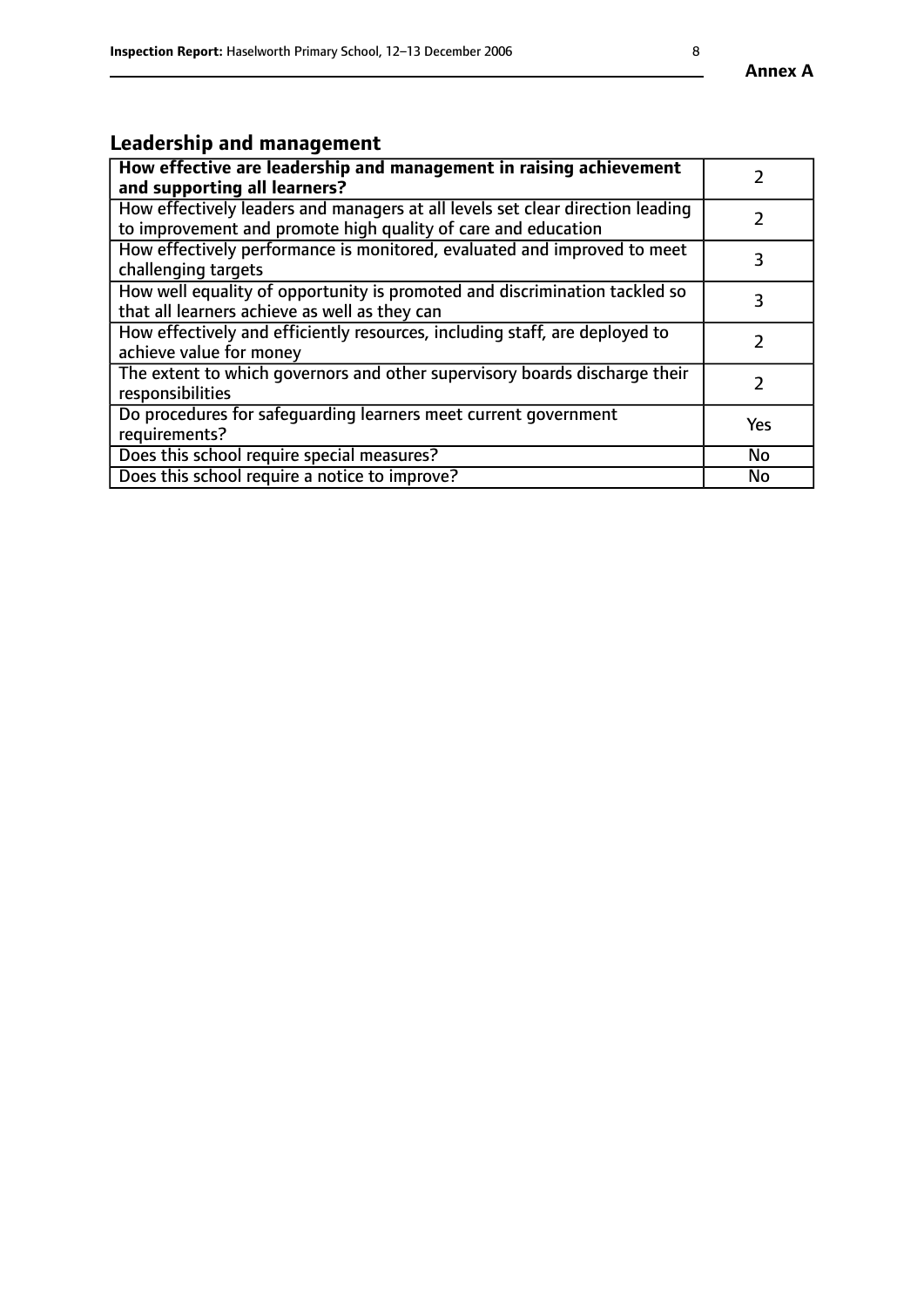# **Leadership and management**

| How effective are leadership and management in raising achievement<br>and supporting all learners?                                              |               |
|-------------------------------------------------------------------------------------------------------------------------------------------------|---------------|
| How effectively leaders and managers at all levels set clear direction leading<br>to improvement and promote high quality of care and education |               |
| How effectively performance is monitored, evaluated and improved to meet<br>challenging targets                                                 | 3             |
| How well equality of opportunity is promoted and discrimination tackled so<br>that all learners achieve as well as they can                     | 3             |
| How effectively and efficiently resources, including staff, are deployed to<br>achieve value for money                                          | $\mathcal{P}$ |
| The extent to which governors and other supervisory boards discharge their<br>responsibilities                                                  |               |
| Do procedures for safequarding learners meet current government<br>requirements?                                                                | Yes           |
| Does this school require special measures?                                                                                                      | No            |
| Does this school require a notice to improve?                                                                                                   | <b>No</b>     |